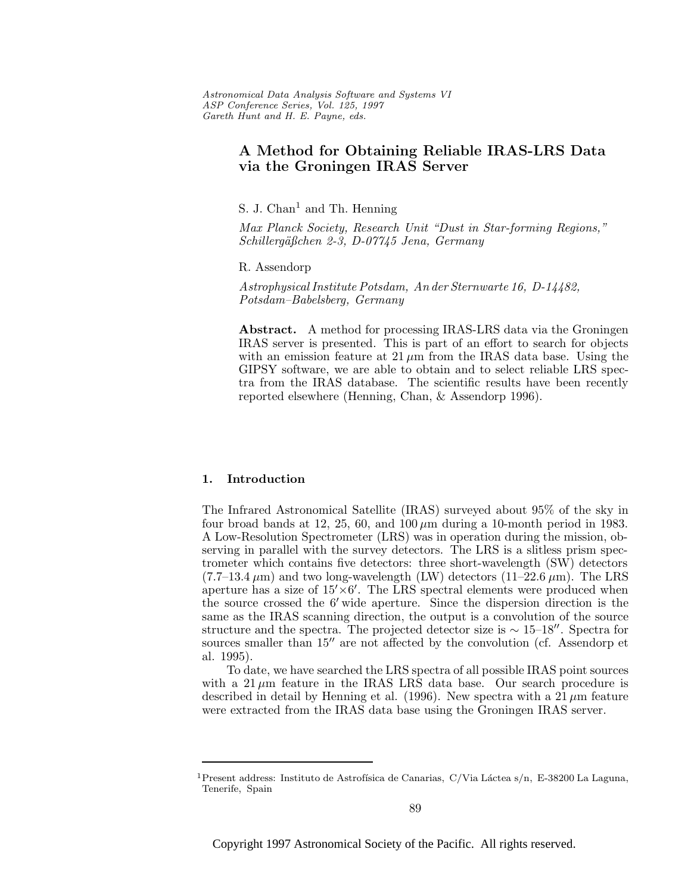Astronomical Data Analysis Software and Systems VI ASP Conference Series, Vol. 125, 1997 Gareth Hunt and H. E. Payne, e ds.

# **A Method for Obtaining Reliable IRAS-LRS Data via the Groningen IRAS Server**

S. J. Chan<sup>1</sup> and Th. Henning

Max Planck Society, Research Unit "Dust in Star-forming Regions," Schillergäßchen 2-3, D-07745 Jena, Germany

R. Assendorp

Astrophysical Institute Potsdam, An der Sternwarte 16, D-14482, Potsdam–Babelsberg, Germany

**Abstract.** A method for processing IRAS-LRS data via the Groningen IRAS server is presented. This is part of an effort to search for objects with an emission feature at  $21 \mu m$  from the IRAS data base. Using the GIPSY software, we are able to obtain and to select reliable LRS spectra from the IRAS database. The scientific results have been recently reported elsewhere (Henning, Chan, & Assendorp 1996).

### **1. Introduction**

The Infrared Astronomical Satellite (IRAS) surveyed about 95% of the sky in four broad bands at 12, 25, 60, and  $100 \mu m$  during a 10-month period in 1983. A Low-Resolution Spectrometer (LRS) was in operation during the mission, observing in parallel with the survey detectors. The LRS is a slitless prism spectrometer which contains five detectors: three short-wavelength (SW) detectors  $(7.7-13.4 \,\mu\text{m})$  and two long-wavelength (LW) detectors  $(11-22.6 \,\mu\text{m})$ . The LRS aperture has a size of  $15' \times 6'$ . The LRS spectral elements were produced when the source crossed the  $6'$  wide aperture. Since the dispersion direction is the same as the IRAS scanning direction, the output is a convolution of the source structure and the spectra. The projected detector size is  $\sim 15-18''$ . Spectra for sources smaller than  $15<sup>o</sup>$  are not affected by the convolution (cf. Assendorp et al. 1995).

To date, we have searched the LRS spectra of all possible IRAS point sources with a  $21 \mu m$  feature in the IRAS LRS data base. Our search procedure is described in detail by Henning et al. (1996). New spectra with a  $21 \mu m$  feature were extracted from the IRAS data base using the Groningen IRAS server.

<sup>&</sup>lt;sup>1</sup> Present address: Instituto de Astrofísica de Canarias, C/Via Láctea s/n, E-38200 La Laguna, Tenerife, Spain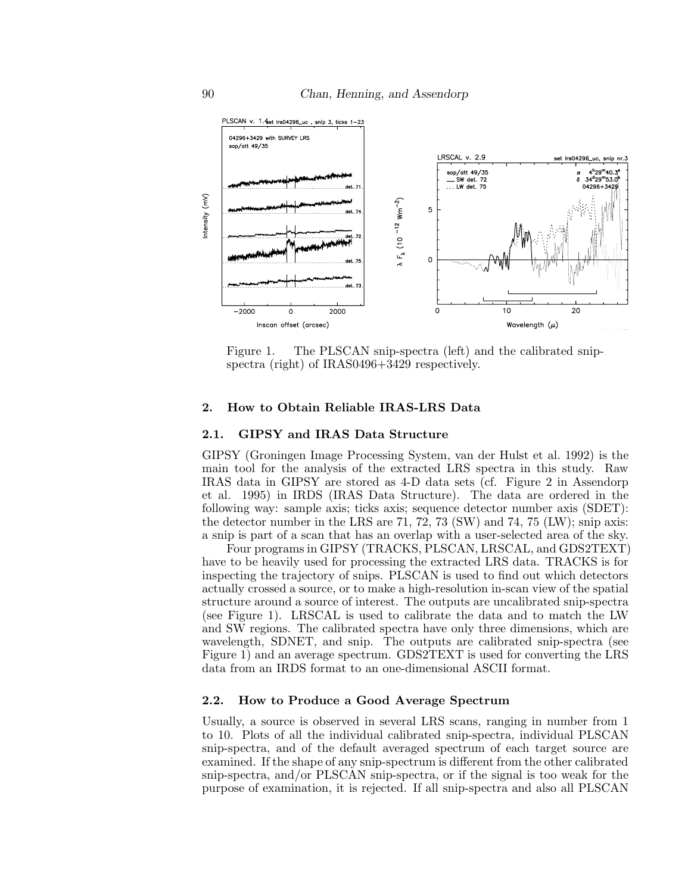

Figure 1. The PLSCAN snip-spectra (left) and the calibrated snipspectra (right) of IRAS0496+3429 respectively.

#### **2. How to Obtain Reliable IRAS-LRS Data**

#### **2.1. GIPSY and IRAS Data Structure**

GIPSY (Groningen Image Processing System, van der Hulst et al. 1992) is the main tool for the analysis of the extracted LRS spectra in this study. Raw IRAS data in GIPSY are stored as 4-D data sets (cf. Figure 2 in Assendorp et al. 1995) in IRDS (IRAS Data Structure). The data are ordered in the following way: sample axis; ticks axis; sequence detector number axis (SDET): the detector number in the LRS are 71, 72, 73 (SW) and 74, 75 (LW); snip axis: a snip is part of a scan that has an overlap with a user-selected area of the sky.

Four programs in GIPSY (TRACKS, PLSCAN, LRSCAL, and GDS2TEXT) have to be heavily used for processing the extracted LRS data. TRACKS is for inspecting the trajectory of snips. PLSCAN is used to find out which detectors actually crossed a source, or to make a high-resolution in-scan view of the spatial structure around a source of interest. The outputs are uncalibrated snip-spectra (see Figure 1). LRSCAL is used to calibrate the data and to match the LW and SW regions. The calibrated spectra have only three dimensions, which are wavelength, SDNET, and snip. The outputs are calibrated snip-spectra (see Figure 1) and an average spectrum. GDS2TEXT is used for converting the LRS data from an IRDS format to an one-dimensional ASCII format.

# **2.2. How to Produce a Good Average Spectrum**

Usually, a source is observed in several LRS scans, ranging in number from 1 to 10. Plots of all the individual calibrated snip-spectra, individual PLSCAN snip-spectra, and of the default averaged spectrum of each target source are examined. If the shape of any snip-spectrum is different from the other calibrated snip-spectra, and/or PLSCAN snip-spectra, or if the signal is too weak for the purpose of examination, it is rejected. If all snip-spectra and also all PLSCAN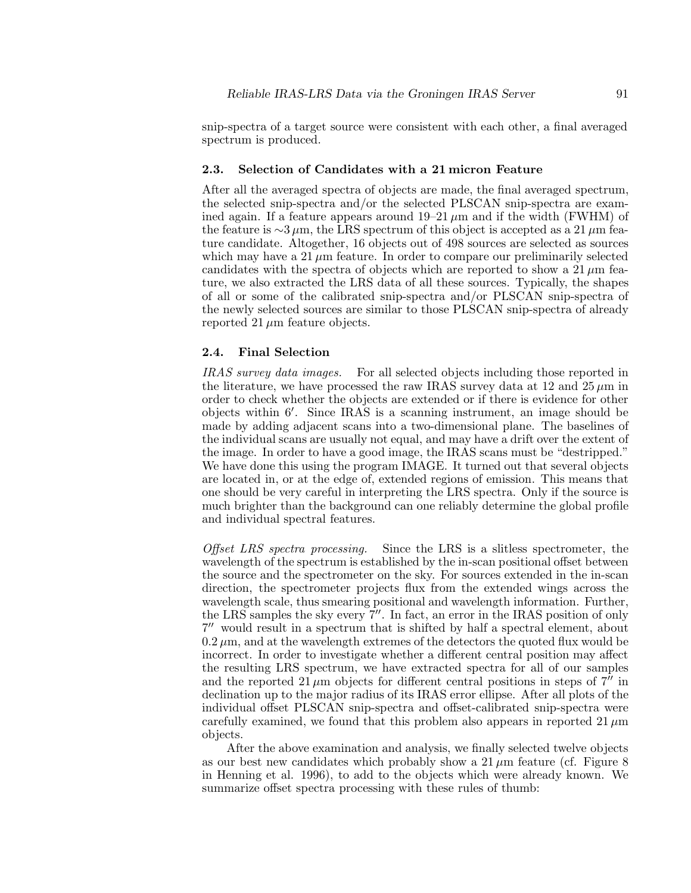#### **2.3. Selection of Candidates with a 21 micron Feature**

After all the averaged spectra of objects are made, the final averaged spectrum, the selected snip-spectra and/or the selected PLSCAN snip-spectra are examined again. If a feature appears around  $19-21 \mu m$  and if the width (FWHM) of the feature is  $\sim$ 3 µm, the LRS spectrum of this object is accepted as a 21 µm feature candidate. Altogether, 16 objects out of 498 sources are selected as sources which may have a  $21 \mu m$  feature. In order to compare our preliminarily selected candidates with the spectra of objects which are reported to show a 21  $\mu$ m feature, we also extracted the LRS data of all these sources. Typically, the shapes of all or some of the calibrated snip-spectra and/or PLSCAN snip-spectra of the newly selected sources are similar to those PLSCAN snip-spectra of already reported 21  $\mu$ m feature objects.

# **2.4. Final Selection**

IRAS survey data images. For all selected objects including those reported in the literature, we have processed the raw IRAS survey data at 12 and  $25 \mu m$  in order to check whether the objects are extended or if there is evidence for other objects within 6'. Since IRAS is a scanning instrument, an image should be made by adding adjacent scans into a two-dimensional plane. The baselines of the individual scans are usually not equal, and may have a drift over the extent of the image. In order to have a good image, the IRAS scans must be "destripped." We have done this using the program IMAGE. It turned out that several objects are located in, or at the edge of, extended regions of emission. This means that one should be very careful in interpreting the LRS spectra. Only if the source is much brighter than the background can one reliably determine the global profile and individual spectral features.

Offset LRS spectra processing. Since the LRS is a slitless spectrometer, the wavelength of the spectrum is established by the in-scan positional offset between the source and the spectrometer on the sky. For sources extended in the in-scan direction, the spectrometer projects flux from the extended wings across the wavelength scale, thus smearing positional and wavelength information. Further, the LRS samples the sky every  $7''$ . In fact, an error in the IRAS position of only  $7<sup>0</sup>$  would result in a spectrum that is shifted by half a spectral element, about  $0.2 \mu$ m, and at the wavelength extremes of the detectors the quoted flux would be incorrect. In order to investigate whether a different central position may affect the resulting LRS spectrum, we have extracted spectra for all of our samples and the reported  $21 \mu m$  objects for different central positions in steps of  $7^{\prime\prime}$  in declination up to the major radius of its IRAS error ellipse. After all plots of the individual offset PLSCAN snip-spectra and offset-calibrated snip-spectra were carefully examined, we found that this problem also appears in reported  $21 \mu m$ objects.

After the above examination and analysis, we finally selected twelve objects as our best new candidates which probably show a  $21 \mu m$  feature (cf. Figure 8) in Henning et al. 1996), to add to the objects which were already known. We summarize offset spectra processing with these rules of thumb: